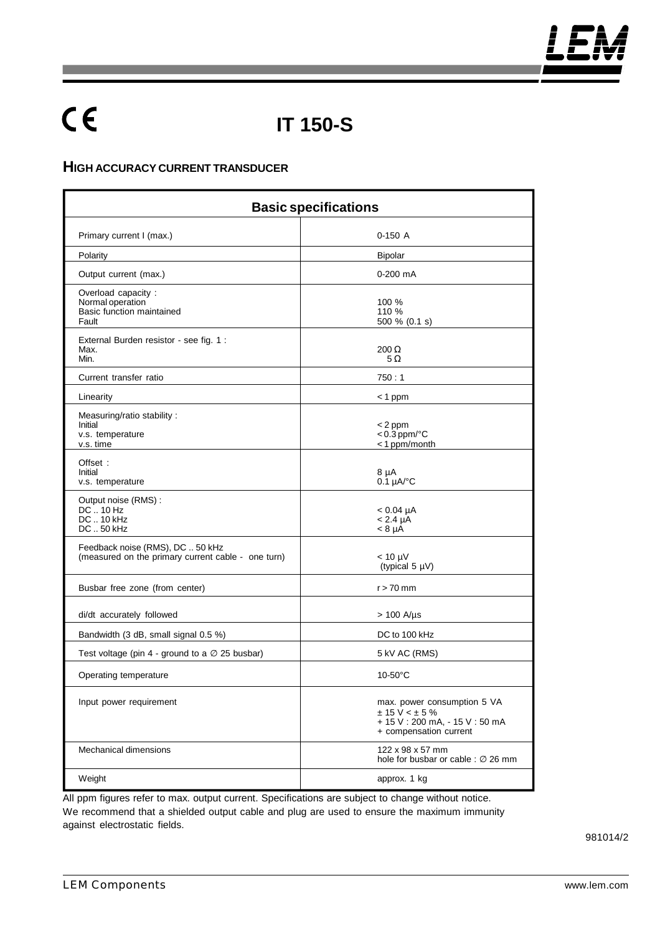# $C \in$

## **IT 150-S**

#### **HIGH ACCURACY CURRENT TRANSDUCER**

| <b>Basic specifications</b>                                                            |                                                                                                             |
|----------------------------------------------------------------------------------------|-------------------------------------------------------------------------------------------------------------|
| Primary current I (max.)                                                               | $0-150A$                                                                                                    |
| Polarity                                                                               | <b>Bipolar</b>                                                                                              |
| Output current (max.)                                                                  | $0-200$ mA                                                                                                  |
| Overload capacity:<br>Normal operation<br>Basic function maintained<br>Fault           | 100 %<br>110 %<br>500 % (0.1 s)                                                                             |
| External Burden resistor - see fig. 1 :<br>Max.<br>Min.                                | $200 \Omega$<br>$5\,\Omega$                                                                                 |
| Current transfer ratio                                                                 | 750:1                                                                                                       |
| Linearity                                                                              | $<$ 1 ppm                                                                                                   |
| Measuring/ratio stability:<br>Initial<br>v.s. temperature<br>v.s. time                 | < 2 ppm<br>$< 0.3$ ppm/ $°C$<br><1 ppm/month                                                                |
| Offset:<br>Initial<br>v.s. temperature                                                 | 8 µA<br>$0.1 \mu A$ <sup>o</sup> C                                                                          |
| Output noise (RMS):<br>$DC$ 10 Hz<br>DC  10 kHz<br>DC  50 kHz                          | $< 0.04 \mu A$<br>$< 2.4 \mu A$<br>$< 8 \mu A$                                                              |
| Feedback noise (RMS), DC  50 kHz<br>(measured on the primary current cable - one turn) | $< 10 \mu V$<br>(typical $5 \mu V$ )                                                                        |
| Busbar free zone (from center)                                                         | $r > 70$ mm                                                                                                 |
| di/dt accurately followed                                                              | $> 100$ A/µs                                                                                                |
| Bandwidth (3 dB, small signal 0.5 %)                                                   | DC to 100 kHz                                                                                               |
| Test voltage (pin 4 - ground to a $\varnothing$ 25 busbar)                             | 5 kV AC (RMS)                                                                                               |
| Operating temperature                                                                  | $10-50$ °C                                                                                                  |
| Input power requirement                                                                | max. power consumption 5 VA<br>$± 15 V < ± 5 \%$<br>+ 15 V: 200 mA, - 15 V: 50 mA<br>+ compensation current |
| Mechanical dimensions                                                                  | 122 x 98 x 57 mm<br>hole for busbar or cable : Ø 26 mm                                                      |
| Weight                                                                                 | approx. 1 kg                                                                                                |

All ppm figures refer to max. output current. Specifications are subject to change without notice. We recommend that a shielded output cable and plug are used to ensure the maximum immunity against electrostatic fields.

981014/2